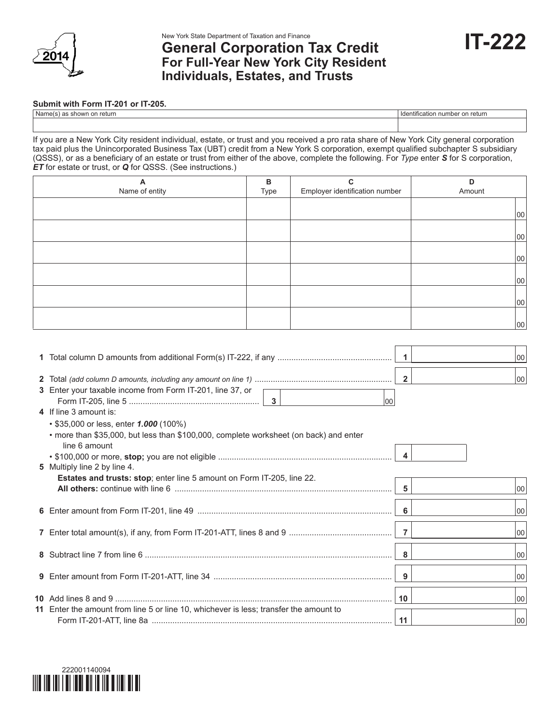

# New York State Department of Taxation and Finance **General Corporation Tax Credit For Full-Year New York City Resident Individuals, Estates, and Trusts**

| <b>IT-222</b><br>$\cdot$ |
|--------------------------|
|--------------------------|

#### **Submit with Form IT-201 or IT-205.**

| Name(s)<br>⊧on return<br>. IOWP | return<br>$\sim$<br>numb<br><b>Identification</b><br>. . |
|---------------------------------|----------------------------------------------------------|
|                                 |                                                          |

If you are a New York City resident individual, estate, or trust and you received a pro rata share of New York City general corporation tax paid plus the Unincorporated Business Tax (UBT) credit from a New York S corporation, exempt qualified subchapter S subsidiary (QSSS), or as a beneficiary of an estate or trust from either of the above, complete the following. For *Type* enter *S* for S corporation, *ET* for estate or trust, or *Q* for QSSS. (See instructions.)

| A<br>Name of entity | в<br>Type | C<br>Employer identification number | D<br>Amount |
|---------------------|-----------|-------------------------------------|-------------|
|                     |           |                                     | 00          |
|                     |           |                                     | 00          |
|                     |           |                                     | 00          |
|                     |           |                                     | 00          |
|                     |           |                                     | 00          |
|                     |           |                                     | 00          |

|                                                                                                                                                                                                                               | $\overline{1}$          | 100       |
|-------------------------------------------------------------------------------------------------------------------------------------------------------------------------------------------------------------------------------|-------------------------|-----------|
| 3 Enter your taxable income from Form IT-201, line 37, or<br>100<br>4 If line 3 amount is:<br>• \$35,000 or less, enter 1.000 (100%)<br>• more than \$35,000, but less than \$100,000, complete worksheet (on back) and enter | $\overline{\mathbf{2}}$ | 00        |
| line 6 amount<br>5 Multiply line 2 by line 4.<br><b>Estates and trusts: stop</b> ; enter line 5 amount on Form IT-205, line 22.                                                                                               | $\overline{4}$<br>5     | 00        |
|                                                                                                                                                                                                                               | 6                       | 00        |
|                                                                                                                                                                                                                               |                         | 00        |
|                                                                                                                                                                                                                               | 8                       | 00        |
|                                                                                                                                                                                                                               | 9                       | loo       |
| 11 Enter the amount from line 5 or line 10, whichever is less; transfer the amount to                                                                                                                                         | 10<br>11                | 100<br>00 |